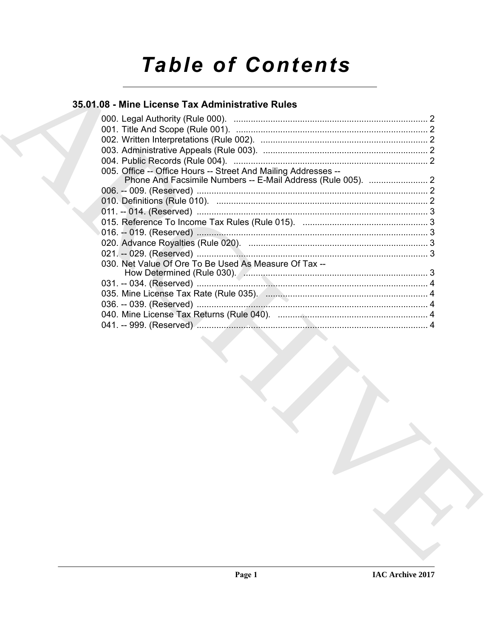# **Table of Contents**

## 35.01.08 - Mine License Tax Administrative Rules

| 005. Office -- Office Hours -- Street And Mailing Addresses -- |  |
|----------------------------------------------------------------|--|
|                                                                |  |
|                                                                |  |
|                                                                |  |
|                                                                |  |
|                                                                |  |
|                                                                |  |
|                                                                |  |
|                                                                |  |
| 030. Net Value Of Ore To Be Used As Measure Of Tax --          |  |
|                                                                |  |
|                                                                |  |
|                                                                |  |
|                                                                |  |
|                                                                |  |
|                                                                |  |
|                                                                |  |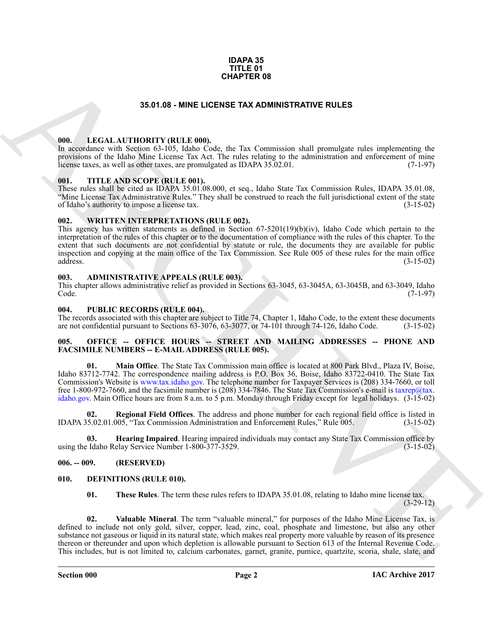#### **IDAPA 35 TITLE 01 CHAPTER 08**

#### **35.01.08 - MINE LICENSE TAX ADMINISTRATIVE RULES**

#### <span id="page-1-1"></span><span id="page-1-0"></span>**000. LEGAL AUTHORITY (RULE 000).**

In accordance with Section 63-105, Idaho Code, the Tax Commission shall promulgate rules implementing the provisions of the Idaho Mine License Tax Act. The rules relating to the administration and enforcement of mine<br>license taxes, as well as other taxes, are promulgated as IDAPA 35.02.01. (7-1-97) license taxes, as well as other taxes, are promulgated as IDAPA 35.02.01.

#### <span id="page-1-2"></span>**001. TITLE AND SCOPE (RULE 001).**

These rules shall be cited as IDAPA 35.01.08.000, et seq., Idaho State Tax Commission Rules, IDAPA 35.01.08, "Mine License Tax Administrative Rules." They shall be construed to reach the full jurisdictional extent of the state of Idaho's authority to impose a license tax. of Idaho's authority to impose a license tax.

#### <span id="page-1-3"></span>**002. WRITTEN INTERPRETATIONS (RULE 002).**

**35.61.05 - MINE LIGENCE TAX ADMINISTRATI[V](mailto:taxrep@tax. idaho.gov)E RULE 80**<br>
W[H](http://www.tax.idaho.gov)EN LIGENCE INTO METALL AND TRANSPORT AND A CONSIDER THE CONSIDERATIVE RULE CONSIDER THE CONSIDERATIVE RULE CONSIDER THE CONSIDERATIVE CONSIDER THE CONSIDERATIVE CONS This agency has written statements as defined in Section 67-5201(19)(b)(iv), Idaho Code which pertain to the interpretation of the rules of this chapter or to the documentation of compliance with the rules of this chapter. To the extent that such documents are not confidential by statute or rule, the documents they are available for public inspection and copying at the main office of the Tax Commission. See Rule 005 of these rules for the main office address. (3-15-02)

#### <span id="page-1-4"></span>**003. ADMINISTRATIVE APPEALS (RULE 003).**

This chapter allows administrative relief as provided in Sections 63-3045, 63-3045A, 63-3045B, and 63-3049, Idaho<br>Code. (7-1-97) Code. (7-1-97)

#### <span id="page-1-5"></span>**004. PUBLIC RECORDS (RULE 004).**

The records associated with this chapter are subject to Title 74, Chapter 1, Idaho Code, to the extent these documents are not confidential pursuant to Sections 63-3076, 63-3077, or 74-101 through 74-126, Idaho Code. (3-15 are not confidential pursuant to Sections  $63-3076$ ,  $63-3077$ , or  $74-101$  through  $74-126$ , Idaho Code.

#### <span id="page-1-6"></span>005. OFFICE -- OFFICE HOURS -- STREET AND MAILING ADDRESSES -- PHONE AND **FACSIMILE NUMBERS -- E-MAIL ADDRESS (RULE 005).**

**01. Main Office**. The State Tax Commission main office is located at 800 Park Blvd., Plaza IV, Boise, Idaho 83712-7742. The correspondence mailing address is P.O. Box 36, Boise, Idaho 83722-0410. The State Tax Commission's Website is www.tax.idaho.gov. The telephone number for Taxpayer Services is (208) 334-7660, or toll free 1-800-972-7660, and the facsimile number is (208) 334-7846. The State Tax Commission's e-mail is taxrep@tax. idaho.gov. Main Office hours are from 8 a.m. to 5 p.m. Monday through Friday except for legal holidays. (3-15-02)

**02. Regional Field Offices**. The address and phone number for each regional field office is listed in IDAPA 35.02.01.005, "Tax Commission Administration and Enforcement Rules," Rule 005. (3-15-02)

**Hearing Impaired**. Hearing impaired individuals may contact any State Tax Commission office by elay Service Number 1-800-377-3529. using the Idaho Relay Service Number 1-800-377-3529.

<span id="page-1-7"></span>**006. -- 009. (RESERVED)**

#### <span id="page-1-8"></span>**010. DEFINITIONS (RULE 010).**

<span id="page-1-10"></span><span id="page-1-9"></span>**01. These Rules**. The term these rules refers to IDAPA 35.01.08, relating to Idaho mine license tax.  $(3-29-12)$ 

**02. Valuable Mineral**. The term "valuable mineral," for purposes of the Idaho Mine License Tax, is defined to include not only gold, silver, copper, lead, zinc, coal, phosphate and limestone, but also any other substance not gaseous or liquid in its natural state, which makes real property more valuable by reason of its presence thereon or thereunder and upon which depletion is allowable pursuant to Section 613 of the Internal Revenue Code. This includes, but is not limited to, calcium carbonates, garnet, granite, pumice, quartzite, scoria, shale, slate, and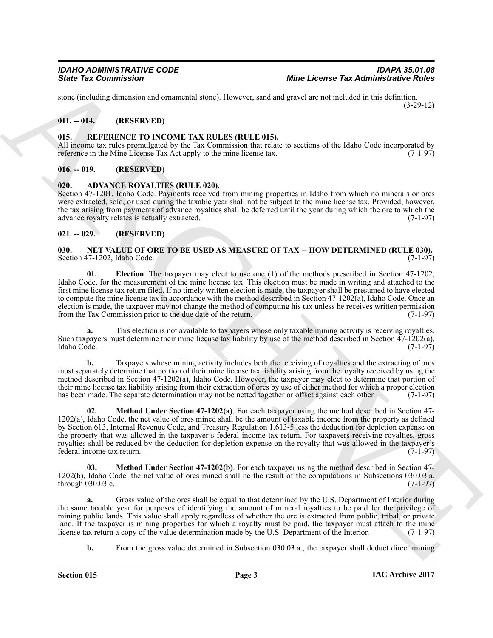stone (including dimension and ornamental stone). However, sand and gravel are not included in this definition. (3-29-12)

### <span id="page-2-0"></span>**011. -- 014. (RESERVED)**

#### <span id="page-2-11"></span><span id="page-2-1"></span>**015. REFERENCE TO INCOME TAX RULES (RULE 015).**

All income tax rules promulgated by the Tax Commission that relate to sections of the Idaho Code incorporated by reference in the Mine License Tax Act apply to the mine license tax.  $(7-1-97)$ 

#### <span id="page-2-2"></span>**016. -- 019. (RESERVED)**

#### <span id="page-2-6"></span><span id="page-2-3"></span>**020. ADVANCE ROYALTIES (RULE 020).**

Section 47-1201, Idaho Code. Payments received from mining properties in Idaho from which no minerals or ores were extracted, sold, or used during the taxable year shall not be subject to the mine license tax. Provided, however, the tax arising from payments of advance royalties shall be deferred until the year during which the ore to which the advance royalty relates is actually extracted. (7-1-97)

#### <span id="page-2-4"></span>**021. -- 029. (RESERVED)**

#### <span id="page-2-7"></span><span id="page-2-5"></span>**030. NET VALUE OF ORE TO BE USED AS MEASURE OF TAX -- HOW DETERMINED (RULE 030).**<br>Section 47-1202, Idaho Code. (7-1-97) Section 47-1202, Idaho Code.

<span id="page-2-8"></span>**01. Election**. The taxpayer may elect to use one (1) of the methods prescribed in Section 47-1202, Idaho Code, for the measurement of the mine license tax. This election must be made in writing and attached to the first mine license tax return filed. If no timely written election is made, the taxpayer shall be presumed to have elected to compute the mine license tax in accordance with the method described in Section 47-1202(a), Idaho Code. Once an election is made, the taxpayer may not change the method of computing his tax unless he receives written permission from the Tax Commission prior to the due date of the return. (7-1-97) from the Tax Commission prior to the due date of the return.

**a.** This election is not available to taxpayers whose only taxable mining activity is receiving royalties. Such taxpayers must determine their mine license tax liability by use of the method described in Section 47-1202(a), Idaho Code. (7-1-97) Idaho Code. (7-1-97)

<span id="page-2-9"></span>**b.** Taxpayers whose mining activity includes both the receiving of royalties and the extracting of ores must separately determine that portion of their mine license tax liability arising from the royalty received by using the method described in Section 47-1202(a), Idaho Code. However, the taxpayer may elect to determine that portion of their mine license tax liability arising from their extraction of ores by use of either method for which a proper election<br>has been made. The separate determination may not be netted together or offset against each other. has been made. The separate determination may not be netted together or offset against each other.

Since Tax Commission<br>
Since Tax Commission<br>
and Commission <sup>22</sup> and Commission 2 of the set of the set of the set of the set of the set of the set of the set of the set of the set of the set of the set of the set of the s **02. Method Under Section 47-1202(a)**. For each taxpayer using the method described in Section 47- 1202(a), Idaho Code, the net value of ores mined shall be the amount of taxable income from the property as defined by Section 613, Internal Revenue Code, and Treasury Regulation 1.613-5 less the deduction for depletion expense on the property that was allowed in the taxpayer's federal income tax return. For taxpayers receiving royalties, gross royalties shall be reduced by the deduction for depletion expense on the royalty that was allowed in the taxpayer's federal income tax return. (7-1-97) federal income tax return.

<span id="page-2-10"></span>**03. Method Under Section 47-1202(b)**. For each taxpayer using the method described in Section 47- 1202(b), Idaho Code, the net value of ores mined shall be the result of the computations in Subsections 030.03.a. through 030.03.c. (7-1-97) through  $030.03.c.$ 

**a.** Gross value of the ores shall be equal to that determined by the U.S. Department of Interior during the same taxable year for purposes of identifying the amount of mineral royalties to be paid for the privilege of mining public lands. This value shall apply regardless of whether the ore is extracted from public, tribal, or private land. If the taxpayer is mining properties for which a royalty must be paid, the taxpayer must attach to the mine license tax return a copy of the value determination made by the U.S. Department of the Interior. (7-1-97) license tax return a copy of the value determination made by the U.S. Department of the Interior.

**b.** From the gross value determined in Subsection 030.03.a., the taxpayer shall deduct direct mining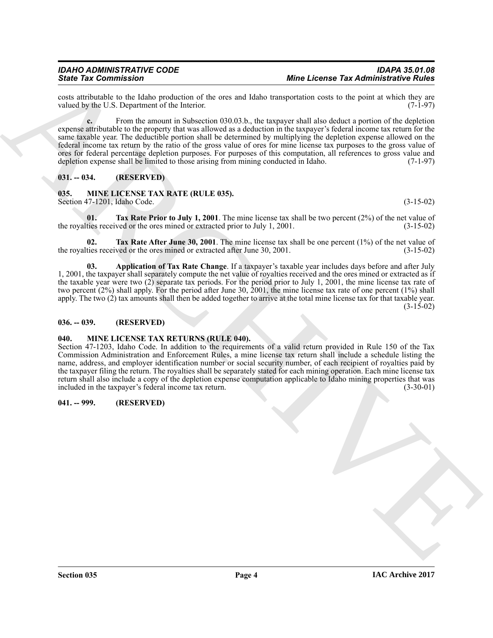costs attributable to the Idaho production of the ores and Idaho transportation costs to the point at which they are valued by the U.S. Department of the Interior. (7-1-97) valued by the U.S. Department of the Interior.

Since Tax Commission Commission and the way and the base and the collection of the commission of the same of the same of the same of the same of the same of the same of the same of the same of the same of the same of the **c.** From the amount in Subsection 030.03.b., the taxpayer shall also deduct a portion of the depletion expense attributable to the property that was allowed as a deduction in the taxpayer's federal income tax return for the same taxable year. The deductible portion shall be determined by multiplying the depletion expense allowed on the federal income tax return by the ratio of the gross value of ores for mine license tax purposes to the gross value of ores for federal percentage depletion purposes. For purposes of this computation, all references to gross value and depletion expense shall be limited to those arising from mining conducted in Idaho. (7-1-97)

#### <span id="page-3-0"></span>**031. -- 034. (RESERVED)**

#### <span id="page-3-5"></span><span id="page-3-1"></span>**035. MINE LICENSE TAX RATE (RULE 035).** Section 47-1201, Idaho Code. (3-15-02)

**01. Tax Rate Prior to July 1, 2001**. The mine license tax shall be two percent (2%) of the net value of ties received or the ores mined or extracted prior to July 1, 2001. (3-15-02) the royalties received or the ores mined or extracted prior to July 1, 2001.

**02. Tax Rate After June 30, 2001**. The mine license tax shall be one percent  $(1\%)$  of the net value of the ores mined or extracted after June 30, 2001. the royalties received or the ores mined or extracted after June 30, 2001.

<span id="page-3-6"></span>**03. Application of Tax Rate Change**. If a taxpayer's taxable year includes days before and after July 1, 2001, the taxpayer shall separately compute the net value of royalties received and the ores mined or extracted as if the taxable year were two (2) separate tax periods. For the period prior to July 1, 2001, the mine license tax rate of two percent (2%) shall apply. For the period after June 30, 2001, the mine license tax rate of one percent (1%) shall apply. The two (2) tax amounts shall then be added together to arrive at the total mine license tax for that taxable year. (3-15-02)

#### <span id="page-3-2"></span>**036. -- 039. (RESERVED)**

### <span id="page-3-7"></span><span id="page-3-3"></span>**040. MINE LICENSE TAX RETURNS (RULE 040).**

Section 47-1203, Idaho Code. In addition to the requirements of a valid return provided in Rule 150 of the Tax Commission Administration and Enforcement Rules, a mine license tax return shall include a schedule listing the name, address, and employer identification number or social security number, of each recipient of royalties paid by the taxpayer filing the return. The royalties shall be separately stated for each mining operation. Each mine license tax return shall also include a copy of the depletion expense computation applicable to Idaho mining properties that was included in the taxpayer's federal income tax return. (3-30-01)

#### <span id="page-3-4"></span>**041. -- 999. (RESERVED)**